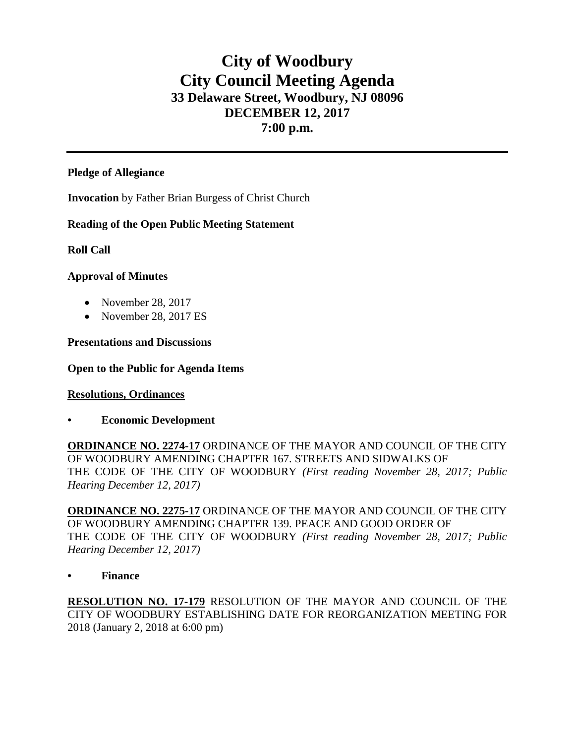# **City of Woodbury City Council Meeting Agenda 33 Delaware Street, Woodbury, NJ 08096 DECEMBER 12, 2017 7:00 p.m.**

#### **Pledge of Allegiance**

**Invocation** by Father Brian Burgess of Christ Church

# **Reading of the Open Public Meeting Statement**

# **Roll Call**

#### **Approval of Minutes**

- November 28, 2017
- November 28, 2017 ES

#### **Presentations and Discussions**

### **Open to the Public for Agenda Items**

# **Resolutions, Ordinances**

**• Economic Development**

**ORDINANCE NO. 2274-17** ORDINANCE OF THE MAYOR AND COUNCIL OF THE CITY OF WOODBURY AMENDING CHAPTER 167. STREETS AND SIDWALKS OF THE CODE OF THE CITY OF WOODBURY *(First reading November 28, 2017; Public Hearing December 12, 2017)*

**ORDINANCE NO. 2275-17** ORDINANCE OF THE MAYOR AND COUNCIL OF THE CITY OF WOODBURY AMENDING CHAPTER 139. PEACE AND GOOD ORDER OF THE CODE OF THE CITY OF WOODBURY *(First reading November 28, 2017; Public Hearing December 12, 2017)*

# **• Finance**

**RESOLUTION NO. 17-179** RESOLUTION OF THE MAYOR AND COUNCIL OF THE CITY OF WOODBURY ESTABLISHING DATE FOR REORGANIZATION MEETING FOR 2018 (January 2, 2018 at 6:00 pm)